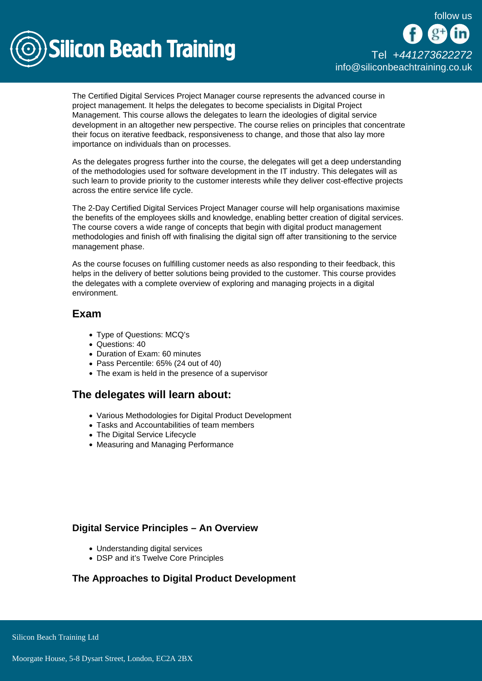follow us



The Certified Digital Services Project Manager course represents the advanced course in project management. It helps the delegates to become specialists in Digital Project Management. This course allows the delegates to learn the ideologies of digital service development in an altogether new perspective. The course relies on principles that concentrate their focus on iterative feedback, responsiveness to change, and those that also lay more importance on individuals than on processes.

As the delegates progress further into the course, the delegates will get a deep understanding of the methodologies used for software development in the IT industry. This delegates will as such learn to provide priority to the customer interests while they deliver cost-effective projects across the entire service life cycle.

The 2-Day Certified Digital Services Project Manager course will help organisations maximise the benefits of the employees skills and knowledge, enabling better creation of digital services. The course covers a wide range of concepts that begin with digital product management methodologies and finish off with finalising the digital sign off after transitioning to the service management phase.

As the course focuses on fulfilling customer needs as also responding to their feedback, this helps in the delivery of better solutions being provided to the customer. This course provides the delegates with a complete overview of exploring and managing projects in a digital environment.

## Exam

- Type of Questions: MCQ's
- Questions: 40
- Duration of Exam: 60 minutes
- Pass Percentile: 65% (24 out of 40)
- The exam is held in the presence of a supervisor

# The delegates will learn about:

- Various Methodologies for Digital Product Development
- Tasks and Accountabilities of team members
- The Digital Service Lifecycle
- Measuring and Managing Performance

## Digital Service Principles – An Overview

- Understanding digital services
- DSP and it's Twelve Core Principles

The Approaches to Digital Product Development

Silicon Beach Training Ltd